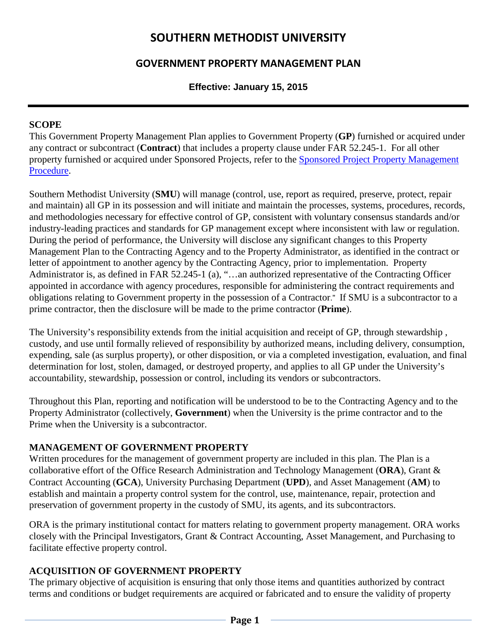# **SOUTHERN METHODIST UNIVERSITY**

## **GOVERNMENT PROPERTY MANAGEMENT PLAN**

### **Effective: January 15, 2015**

#### **SCOPE**

This Government Property Management Plan applies to Government Property (**GP**) furnished or acquired under any contract or subcontract (**Contract**) that includes a property clause under FAR 52.245-1. For all other property furnished or acquired under Sponsored Projects, refer to the [Sponsored Project Property Management](http://www.smu.edu/~/media/Site/BusinessFinance/Controllers/Grant%20and%20Contract%20Accounting/SPONSORED_PROJ_PROP_MGT.ashx?la=en)  [Procedure.](http://www.smu.edu/~/media/Site/BusinessFinance/Controllers/Grant%20and%20Contract%20Accounting/SPONSORED_PROJ_PROP_MGT.ashx?la=en)

Southern Methodist University (**SMU**) will manage (control, use, report as required, preserve, protect, repair and maintain) all GP in its possession and will initiate and maintain the processes, systems, procedures, records, and methodologies necessary for effective control of GP, consistent with voluntary consensus standards and/or industry-leading practices and standards for GP management except where inconsistent with law or regulation. During the period of performance, the University will disclose any significant changes to this Property Management Plan to the Contracting Agency and to the Property Administrator, as identified in the contract or letter of appointment to another agency by the Contracting Agency, prior to implementation. Property Administrator is, as defined in FAR 52.245-1 (a), "…an authorized representative of the Contracting Officer appointed in accordance with agency procedures, responsible for administering the contract requirements and obligations relating to Government property in the possession of a Contractor." If SMU is a subcontractor to a prime contractor, then the disclosure will be made to the prime contractor (**Prime**).

The University's responsibility extends from the initial acquisition and receipt of GP, through stewardship , custody, and use until formally relieved of responsibility by authorized means, including delivery, consumption, expending, sale (as surplus property), or other disposition, or via a completed investigation, evaluation, and final determination for lost, stolen, damaged, or destroyed property, and applies to all GP under the University's accountability, stewardship, possession or control, including its vendors or subcontractors.

Throughout this Plan, reporting and notification will be understood to be to the Contracting Agency and to the Property Administrator (collectively, **Government**) when the University is the prime contractor and to the Prime when the University is a subcontractor.

#### **MANAGEMENT OF GOVERNMENT PROPERTY**

Written procedures for the management of government property are included in this plan. The Plan is a collaborative effort of the Office Research Administration and Technology Management (**ORA**), Grant & Contract Accounting (**GCA**), University Purchasing Department (**UPD**), and Asset Management (**AM**) to establish and maintain a property control system for the control, use, maintenance, repair, protection and preservation of government property in the custody of SMU, its agents, and its subcontractors.

ORA is the primary institutional contact for matters relating to government property management. ORA works closely with the Principal Investigators, Grant & Contract Accounting, Asset Management, and Purchasing to facilitate effective property control.

### **ACQUISITION OF GOVERNMENT PROPERTY**

The primary objective of acquisition is ensuring that only those items and quantities authorized by contract terms and conditions or budget requirements are acquired or fabricated and to ensure the validity of property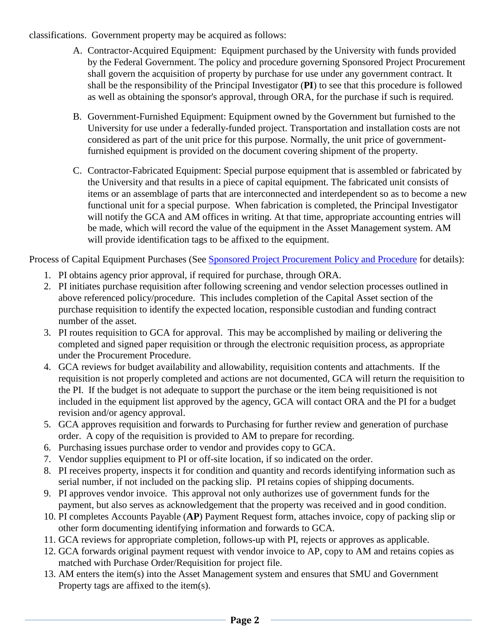classifications. Government property may be acquired as follows:

- A. Contractor-Acquired Equipment: Equipment purchased by the University with funds provided by the Federal Government. The policy and procedure governing Sponsored Project Procurement shall govern the acquisition of property by purchase for use under any government contract. It shall be the responsibility of the Principal Investigator (**PI**) to see that this procedure is followed as well as obtaining the sponsor's approval, through ORA, for the purchase if such is required.
- B. Government-Furnished Equipment: Equipment owned by the Government but furnished to the University for use under a federally-funded project. Transportation and installation costs are not considered as part of the unit price for this purpose. Normally, the unit price of governmentfurnished equipment is provided on the document covering shipment of the property.
- C. Contractor-Fabricated Equipment: Special purpose equipment that is assembled or fabricated by the University and that results in a piece of capital equipment. The fabricated unit consists of items or an assemblage of parts that are interconnected and interdependent so as to become a new functional unit for a special purpose. When fabrication is completed, the Principal Investigator will notify the GCA and AM offices in writing. At that time, appropriate accounting entries will be made, which will record the value of the equipment in the Asset Management system. AM will provide identification tags to be affixed to the equipment.

Process of Capital Equipment Purchases (See [Sponsored Project Procurement Policy and Procedure](http://www.smu.edu/~/media/Site/BusinessFinance/Controllers/Grant%20and%20Contract%20Accounting/SPONSORED_PROJECT_PROCUREMENT.ashx?la=en) for details):

- 1. PI obtains agency prior approval, if required for purchase, through ORA.
- 2. PI initiates purchase requisition after following screening and vendor selection processes outlined in above referenced policy/procedure. This includes completion of the Capital Asset section of the purchase requisition to identify the expected location, responsible custodian and funding contract number of the asset.
- 3. PI routes requisition to GCA for approval. This may be accomplished by mailing or delivering the completed and signed paper requisition or through the electronic requisition process, as appropriate under the Procurement Procedure.
- 4. GCA reviews for budget availability and allowability, requisition contents and attachments. If the requisition is not properly completed and actions are not documented, GCA will return the requisition to the PI. If the budget is not adequate to support the purchase or the item being requisitioned is not included in the equipment list approved by the agency, GCA will contact ORA and the PI for a budget revision and/or agency approval.
- 5. GCA approves requisition and forwards to Purchasing for further review and generation of purchase order. A copy of the requisition is provided to AM to prepare for recording.
- 6. Purchasing issues purchase order to vendor and provides copy to GCA.
- 7. Vendor supplies equipment to PI or off-site location, if so indicated on the order.
- 8. PI receives property, inspects it for condition and quantity and records identifying information such as serial number, if not included on the packing slip. PI retains copies of shipping documents.
- 9. PI approves vendor invoice. This approval not only authorizes use of government funds for the payment, but also serves as acknowledgement that the property was received and in good condition.
- 10. PI completes Accounts Payable (**AP**) Payment Request form, attaches invoice, copy of packing slip or other form documenting identifying information and forwards to GCA.
- 11. GCA reviews for appropriate completion, follows-up with PI, rejects or approves as applicable.
- 12. GCA forwards original payment request with vendor invoice to AP, copy to AM and retains copies as matched with Purchase Order/Requisition for project file.
- 13. AM enters the item(s) into the Asset Management system and ensures that SMU and Government Property tags are affixed to the item(s).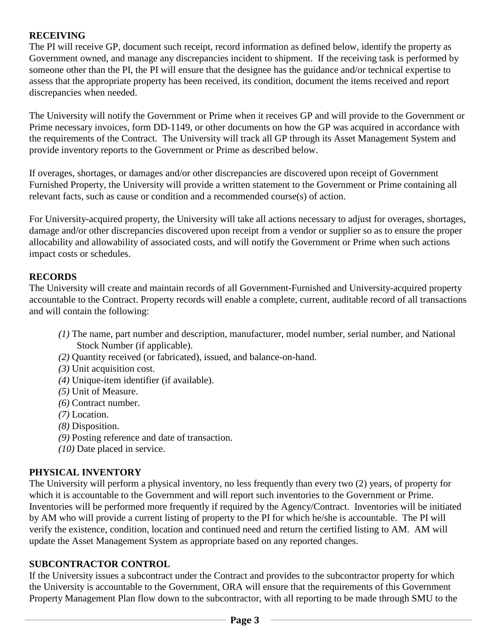## **RECEIVING**

The PI will receive GP, document such receipt, record information as defined below, identify the property as Government owned, and manage any discrepancies incident to shipment. If the receiving task is performed by someone other than the PI, the PI will ensure that the designee has the guidance and/or technical expertise to assess that the appropriate property has been received, its condition, document the items received and report discrepancies when needed.

The University will notify the Government or Prime when it receives GP and will provide to the Government or Prime necessary invoices, form DD-1149, or other documents on how the GP was acquired in accordance with the requirements of the Contract. The University will track all GP through its Asset Management System and provide inventory reports to the Government or Prime as described below.

If overages, shortages, or damages and/or other discrepancies are discovered upon receipt of Government Furnished Property, the University will provide a written statement to the Government or Prime containing all relevant facts, such as cause or condition and a recommended course(s) of action.

For University-acquired property, the University will take all actions necessary to adjust for overages, shortages, damage and/or other discrepancies discovered upon receipt from a vendor or supplier so as to ensure the proper allocability and allowability of associated costs, and will notify the Government or Prime when such actions impact costs or schedules.

### **RECORDS**

The University will create and maintain records of all Government-Furnished and University-acquired property accountable to the Contract. Property records will enable a complete, current, auditable record of all transactions and will contain the following:

- *(1)* The name, part number and description, manufacturer, model number, serial number, and National Stock Number (if applicable).
- *(2)* Quantity received (or fabricated), issued, and balance-on-hand.
- *(3)* Unit acquisition cost.
- *(4)* Unique-item identifier (if available).
- *(5)* Unit of Measure.
- *(6)* Contract number.
- *(7)* Location.
- *(8)* Disposition.
- *(9)* Posting reference and date of transaction.
- *(10)* Date placed in service.

#### **PHYSICAL INVENTORY**

The University will perform a physical inventory, no less frequently than every two (2) years, of property for which it is accountable to the Government and will report such inventories to the Government or Prime. Inventories will be performed more frequently if required by the Agency/Contract. Inventories will be initiated by AM who will provide a current listing of property to the PI for which he/she is accountable. The PI will verify the existence, condition, location and continued need and return the certified listing to AM. AM will update the Asset Management System as appropriate based on any reported changes.

### **SUBCONTRACTOR CONTROL**

If the University issues a subcontract under the Contract and provides to the subcontractor property for which the University is accountable to the Government, ORA will ensure that the requirements of this Government Property Management Plan flow down to the subcontractor, with all reporting to be made through SMU to the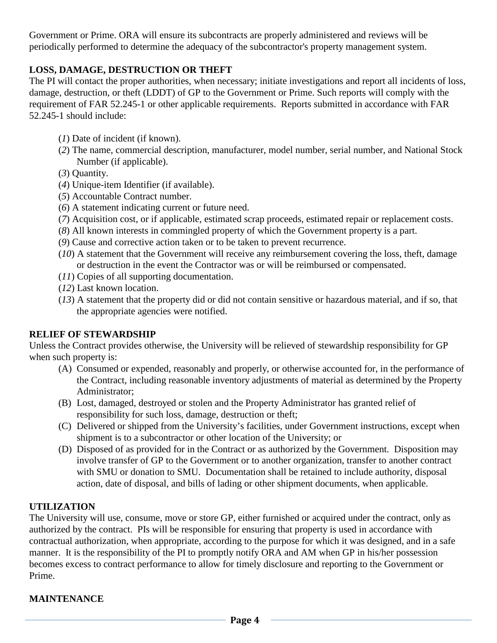Government or Prime. ORA will ensure its subcontracts are properly administered and reviews will be periodically performed to determine the adequacy of the subcontractor's property management system.

## **LOSS, DAMAGE, DESTRUCTION OR THEFT**

The PI will contact the proper authorities, when necessary; initiate investigations and report all incidents of loss, damage, destruction, or theft (LDDT) of GP to the Government or Prime. Such reports will comply with the requirement of FAR 52.245-1 or other applicable requirements. Reports submitted in accordance with FAR 52.245-1 should include:

- (*1*) Date of incident (if known).
- (*2*) The name, commercial description, manufacturer, model number, serial number, and National Stock Number (if applicable).
- (*3*) Quantity.
- (*4*) Unique-item Identifier (if available).
- (*5*) Accountable Contract number.
- (*6*) A statement indicating current or future need.
- (*7*) Acquisition cost, or if applicable, estimated scrap proceeds, estimated repair or replacement costs.
- (*8*) All known interests in commingled property of which the Government property is a part.
- (*9*) Cause and corrective action taken or to be taken to prevent recurrence.
- (*10*) A statement that the Government will receive any reimbursement covering the loss, theft, damage or destruction in the event the Contractor was or will be reimbursed or compensated.
- (*11*) Copies of all supporting documentation.
- (*12*) Last known location.
- (*13*) A statement that the property did or did not contain sensitive or hazardous material, and if so, that the appropriate agencies were notified.

### **RELIEF OF STEWARDSHIP**

Unless the Contract provides otherwise, the University will be relieved of stewardship responsibility for GP when such property is:

- (A) Consumed or expended, reasonably and properly, or otherwise accounted for, in the performance of the Contract, including reasonable inventory adjustments of material as determined by the Property Administrator;
- (B) Lost, damaged, destroyed or stolen and the Property Administrator has granted relief of responsibility for such loss, damage, destruction or theft;
- (C) Delivered or shipped from the University's facilities, under Government instructions, except when shipment is to a subcontractor or other location of the University; or
- (D) Disposed of as provided for in the Contract or as authorized by the Government. Disposition may involve transfer of GP to the Government or to another organization, transfer to another contract with SMU or donation to SMU. Documentation shall be retained to include authority, disposal action, date of disposal, and bills of lading or other shipment documents, when applicable.

### **UTILIZATION**

The University will use, consume, move or store GP, either furnished or acquired under the contract, only as authorized by the contract. PIs will be responsible for ensuring that property is used in accordance with contractual authorization, when appropriate, according to the purpose for which it was designed, and in a safe manner. It is the responsibility of the PI to promptly notify ORA and AM when GP in his/her possession becomes excess to contract performance to allow for timely disclosure and reporting to the Government or Prime.

# **MAINTENANCE**